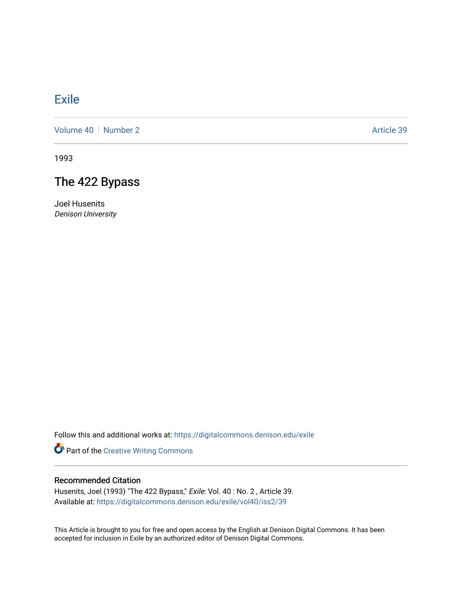## [Exile](https://digitalcommons.denison.edu/exile)

[Volume 40](https://digitalcommons.denison.edu/exile/vol40) [Number 2](https://digitalcommons.denison.edu/exile/vol40/iss2) Article 39

1993

## The 422 Bypass

Joel Husenits Denison University

Follow this and additional works at: [https://digitalcommons.denison.edu/exile](https://digitalcommons.denison.edu/exile?utm_source=digitalcommons.denison.edu%2Fexile%2Fvol40%2Fiss2%2F39&utm_medium=PDF&utm_campaign=PDFCoverPages) 

Part of the [Creative Writing Commons](http://network.bepress.com/hgg/discipline/574?utm_source=digitalcommons.denison.edu%2Fexile%2Fvol40%2Fiss2%2F39&utm_medium=PDF&utm_campaign=PDFCoverPages) 

## Recommended Citation

Husenits, Joel (1993) "The 422 Bypass," Exile: Vol. 40 : No. 2 , Article 39. Available at: [https://digitalcommons.denison.edu/exile/vol40/iss2/39](https://digitalcommons.denison.edu/exile/vol40/iss2/39?utm_source=digitalcommons.denison.edu%2Fexile%2Fvol40%2Fiss2%2F39&utm_medium=PDF&utm_campaign=PDFCoverPages)

This Article is brought to you for free and open access by the English at Denison Digital Commons. It has been accepted for inclusion in Exile by an authorized editor of Denison Digital Commons.